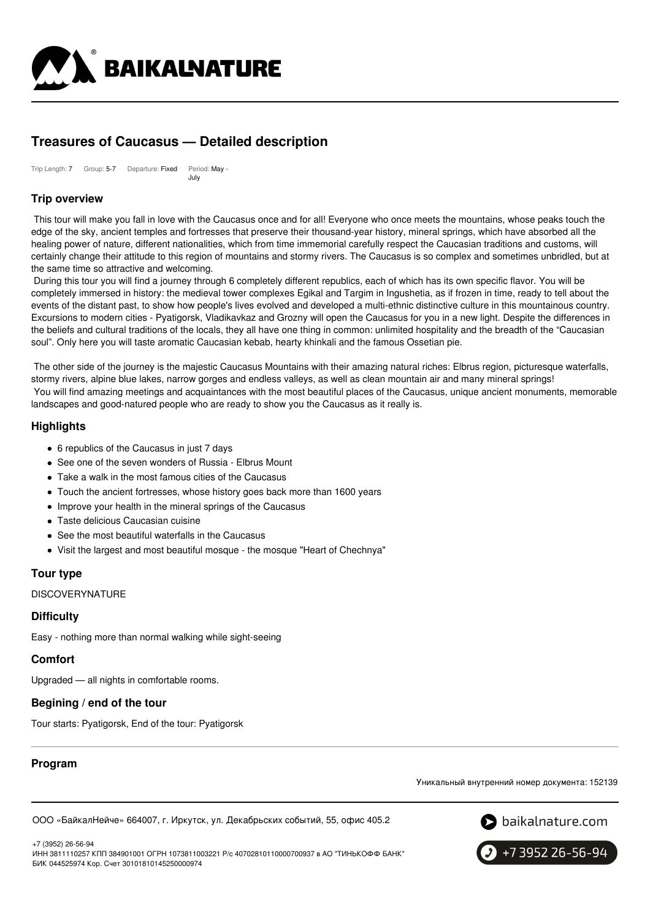

# **Treasures of Caucasus — Detailed description**

Trip Length: 7 Group: 5-7 Departure: Fixed Period: May -July

# **Trip overview**

This tour will make you fall in love with the Caucasus once and for all! Everyone who once meets the mountains, whose peaks touch the edge of the sky, ancient temples and fortresses that preserve their thousand-year history, mineral springs, which have absorbed all the healing power of nature, different nationalities, which from time immemorial carefully respect the Caucasian traditions and customs, will certainly change their attitude to this region of mountains and stormy rivers. The Caucasus is so complex and sometimes unbridled, but at the same time so attractive and welcoming.

During this tour you will find a journey through 6 completely different republics, each of which has its own specific flavor. You will be completely immersed in history: the medieval tower complexes Egikal and Targim in Ingushetia, as if frozen in time, ready to tell about the events of the distant past, to show how people's lives evolved and developed a multi-ethnic distinctive culture in this mountainous country. Excursions to modern cities - Pyatigorsk, Vladikavkaz and Grozny will open the Caucasus for you in a new light. Despite the differences in the beliefs and cultural traditions of the locals, they all have one thing in common: unlimited hospitality and the breadth of the "Caucasian soul". Only here you will taste aromatic Caucasian kebab, hearty khinkali and the famous Ossetian pie.

The other side of the journey is the majestic Caucasus Mountains with their amazing natural riches: Elbrus region, picturesque waterfalls, stormy rivers, alpine blue lakes, narrow gorges and endless valleys, as well as clean mountain air and many mineral springs! You will find amazing meetings and acquaintances with the most beautiful places of the Caucasus, unique ancient monuments, memorable landscapes and good-natured people who are ready to show you the Caucasus as it really is.

# **Highlights**

- 6 republics of the Caucasus in just 7 days
- See one of the seven wonders of Russia Elbrus Mount
- Take a walk in the most famous cities of the Caucasus
- Touch the ancient fortresses, whose history goes back more than 1600 years
- Improve your health in the mineral springs of the Caucasus
- Taste delicious Caucasian cuisine
- See the most beautiful waterfalls in the Caucasus
- Visit the largest and most beautiful mosque the mosque "Heart of Chechnya"

# **Tour type**

**DISCOVERYNATURE** 

# **Difficulty**

Easy - nothing more than normal walking while sight-seeing

### **Comfort**

Upgraded — all nights in comfortable rooms.

# **Begining / end of the tour**

Tour starts: Pyatigorsk, End of the tour: Pyatigorsk

# **Program**

Уникальный внутренний номер документа: 152139

ООО «БайкалНейче» 664007, г. Иркутск, ул. Декабрьских событий, 55, офис 405.2





ИНН 3811110257 КПП 384901001 ОГРН 1073811003221 Р/с 40702810110000700937 в АО "ТИНЬКОФФ БАНК" БИК 044525974 Кор. Счет 30101810145250000974

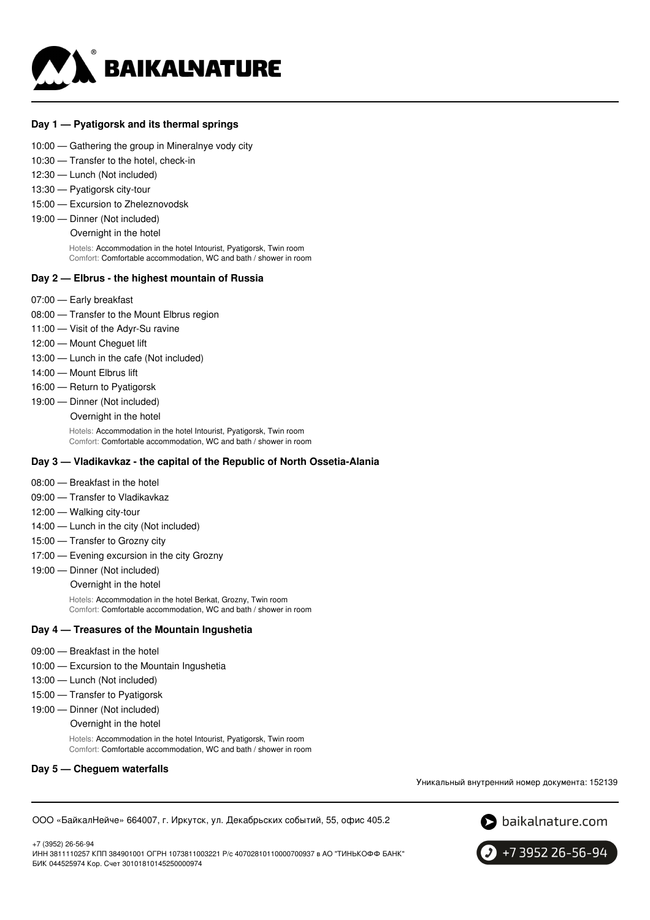

#### **Day 1 — Pyatigorsk and its thermal springs**

- 10:00 Gathering the group in Mineralnye vody city
- 10:30 Transfer to the hotel, check-in
- 12:30 Lunch (Not included)
- 13:30 Pyatigorsk city-tour
- 15:00 Excursion to Zheleznovodsk
- 19:00 Dinner (Not included)

Overnight in the hotel

Hotels: Accommodation in the hotel Intourist, Pyatigorsk, Twin room Comfort: Comfortable accommodation, WC and bath / shower in room

#### **Day 2 — Elbrus - the highest mountain of Russia**

- 07:00 Early breakfast
- 08:00 Transfer to the Mount Elbrus region
- 11:00 Visit of the Adyr-Su ravine
- 12:00 Mount Chequet lift
- 13:00 Lunch in the cafe (Not included)
- 14:00 Mount Elbrus lift
- 16:00 Return to Pyatigorsk
- 19:00 Dinner (Not included)
	- Overnight in the hotel

Hotels: Accommodation in the hotel Intourist, Pyatigorsk, Twin room Comfort: Comfortable accommodation, WC and bath / shower in room

#### **Day 3 — Vladikavkaz - the capital of the Republic of North Ossetia-Alania**

- 08:00 Breakfast in the hotel
- 09:00 Transfer to Vladikavkaz
- 12:00 Walking city-tour
- 14:00 Lunch in the city (Not included)
- 15:00 Transfer to Grozny city
- 17:00 Evening excursion in the city Grozny
- 19:00 Dinner (Not included)
	- Overnight in the hotel

Hotels: Accommodation in the hotel Berkat, Grozny, Twin room Comfort: Comfortable accommodation, WC and bath / shower in room

#### **Day 4 — Treasures of the Mountain Ingushetia**

- 09:00 Breakfast in the hotel
- 10:00 Excursion to the Mountain Ingushetia
- 13:00 Lunch (Not included)
- 15:00 Transfer to Pyatigorsk
- 19:00 Dinner (Not included)
	- Overnight in the hotel

Hotels: Accommodation in the hotel Intourist, Pyatigorsk, Twin room Comfort: Comfortable accommodation, WC and bath / shower in room

#### **Day 5 — Cheguem waterfalls**

Уникальный внутренний номер документа: 152139

ООО «БайкалНейче» 664007, г. Иркутск, ул. Декабрьских событий, 55, офис 405.2

+7 (3952) 26-56-94 ИНН 3811110257 КПП 384901001 ОГРН 1073811003221 Р/с 40702810110000700937 в АО "ТИНЬКОФФ БАНК" БИК 044525974 Кор. Счет 30101810145250000974

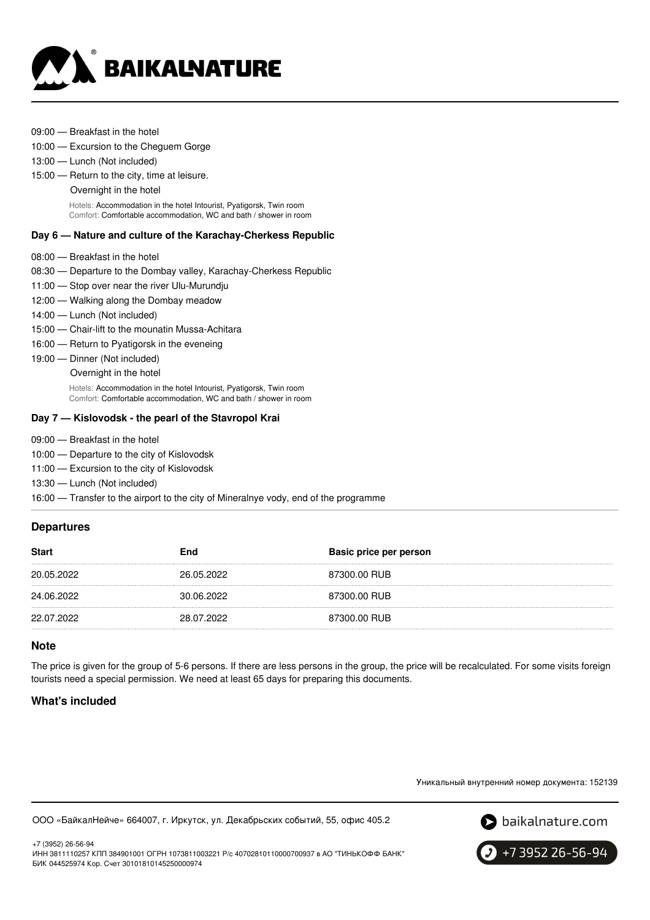

- 09:00 Breakfast in the hotel
- 10:00 Excursion to the Cheguem Gorge
- 13:00 Lunch (Not included)
- 15:00 Return to the city, time at leisure.
	- Overnight in the hotel

Hotels: Accommodation in the hotel Intourist, Pyatigorsk, Twin room Comfort: Comfortable accommodation, WC and bath / shower in room

#### **Day 6 — Nature and culture of the Karachay-Cherkess Republic**

- 08:00 Breakfast in the hotel
- 08:30 Departure to the Dombay valley, Karachay-Cherkess Republic
- 11:00 Stop over near the river Ulu-Murundju
- 12:00 Walking along the Dombay meadow
- 14:00 Lunch (Not included)
- 15:00 Chair-lift to the mounatin Mussa-Achitara
- 16:00 Return to Pyatigorsk in the eveneing
- 19:00 Dinner (Not included)
	- Overnight in the hotel

Hotels: Accommodation in the hotel Intourist, Pyatigorsk, Twin room Comfort: Comfortable accommodation, WC and bath / shower in room

#### **Day 7 — Kislovodsk - the pearl of the Stavropol Krai**

- 09:00 Breakfast in the hotel
- 10:00 Departure to the city of Kislovodsk
- 11:00 Excursion to the city of Kislovodsk
- 13:30 Lunch (Not included)

16:00 — Transfer to the airport to the city of Mineralnye vody, end of the programme

### **Departures**

| <b>Start</b> | <b>End</b> | Basic price per person |
|--------------|------------|------------------------|
| 20.05.2022   | 26.05.2022 | 87300.00 RUB           |
| 24.06.2022   | 30.06.2022 | 87300.00 RUB           |
| 22.07.2022   | 28.07.2022 | 87300.00 RUB           |

### **Note**

The price is given for the group of 5-6 persons. If there are less persons in the group, the price will be recalculated. For some visits foreign tourists need a special permission. We need at least 65 days for preparing this documents.

### **What's included**

+7 (3952) 26-56-94

Уникальный внутренний номер документа: 152139





+7 3952 26-56-94

ИНН 3811110257 КПП 384901001 ОГРН 1073811003221 Р/с 40702810110000700937 в АО "ТИНЬКОФФ БАНК" БИК 044525974 Кор. Счет 30101810145250000974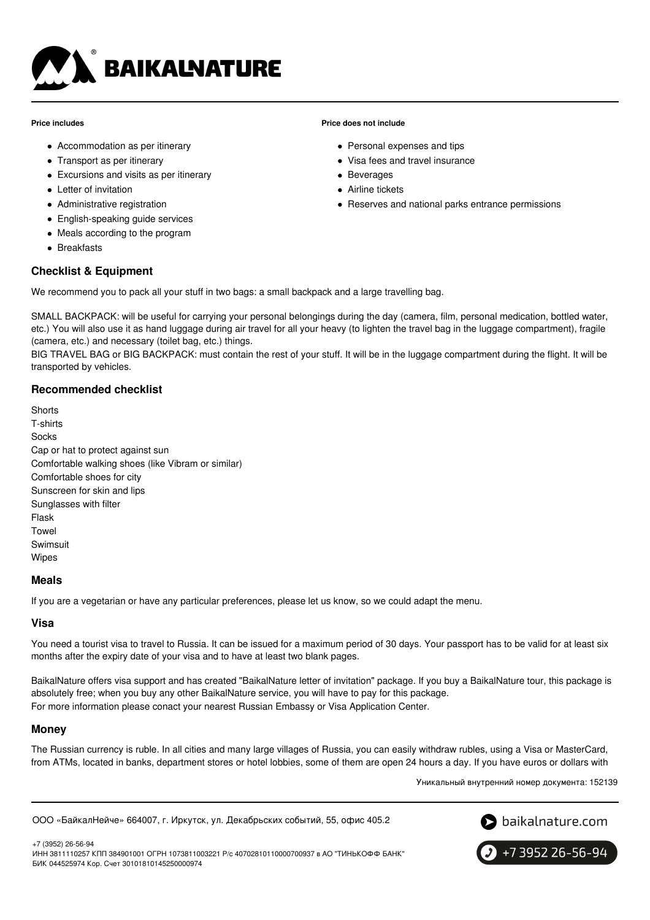

#### **Price includes**

- Accommodation as per itinerary
- Transport as per itinerary
- Excursions and visits as per itinerary
- Letter of invitation
- Administrative registration
- English-speaking guide services
- Meals according to the program
- Breakfasts

# **Checklist & Equipment**

We recommend you to pack all your stuff in two bags: a small backpack and a large travelling bag.

SMALL BACKPACK: will be useful for carrying your personal belongings during the day (camera, film, personal medication, bottled water, etc.) You will also use it as hand luggage during air travel for all your heavy (to lighten the travel bag in the luggage compartment), fragile (camera, etc.) and necessary (toilet bag, etc.) things.

BIG TRAVEL BAG or BIG BACKPACK: must contain the rest of your stuff. It will be in the luggage compartment during the flight. It will be transported by vehicles.

# **Recommended checklist**

**Shorts** T-shirts Socks Cap or hat to protect against sun Comfortable walking shoes (like Vibram or similar) Comfortable shoes for city Sunscreen for skin and lips Sunglasses with filter Flask Towel **Swimsuit** Wipes

### **Meals**

If you are a vegetarian or have any particular preferences, please let us know, so we could adapt the menu.

# **Visa**

You need a tourist visa to travel to Russia. It can be issued for a maximum period of 30 days. Your passport has to be valid for at least six months after the expiry date of your visa and to have at least two blank pages.

BaikalNature offers visa support and has created "BaikalNature letter of invitation" package. If you buy a BaikalNature tour, this package is absolutely free; when you buy any other BaikalNature service, you will have to pay for this package. For more information please conact your nearest Russian Embassy or Visa Application Center.

### **Money**

The Russian currency is ruble. In all cities and many large villages of Russia, you can easily withdraw rubles, using a Visa or MasterCard, from ATMs, located in banks, department stores or hotel lobbies, some of them are open 24 hours a day. If you have euros or dollars with

Уникальный внутренний номер документа: 152139

ООО «БайкалНейче» 664007, г. Иркутск, ул. Декабрьских событий, 55, офис 405.2



+7 (3952) 26-56-94 ИНН 3811110257 КПП 384901001 ОГРН 1073811003221 Р/с 40702810110000700937 в АО "ТИНЬКОФФ БАНК" БИК 044525974 Кор. Счет 30101810145250000974



#### **Price does not include**

- Personal expenses and tips
- Visa fees and travel insurance
- Beverages
- Airline tickets
- Reserves and national parks entrance permissions